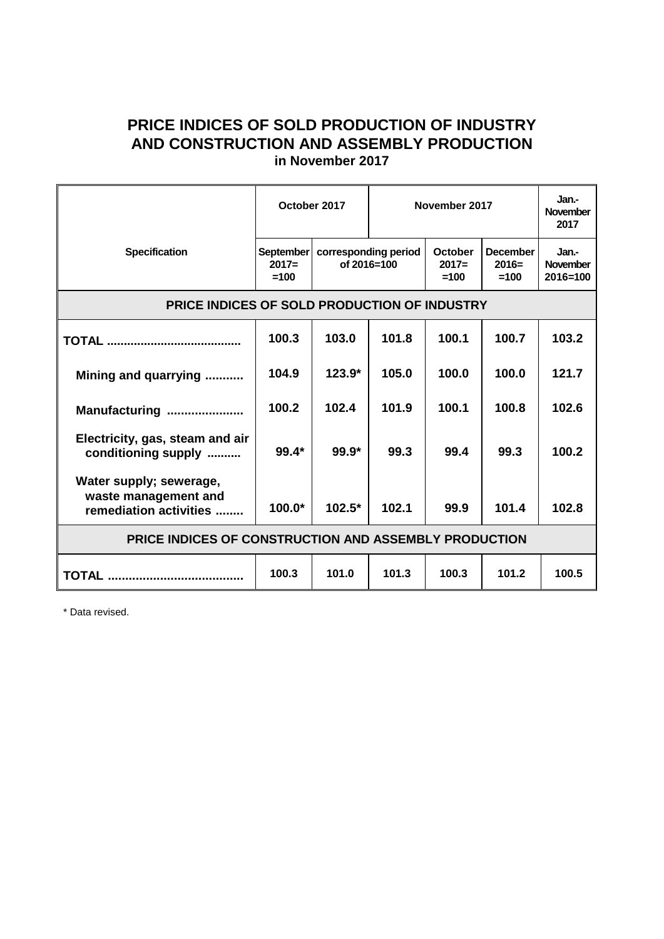## **PRICE INDICES OF SOLD PRODUCTION OF INDUSTRY AND CONSTRUCTION AND ASSEMBLY PRODUCTION in November 2017**

|                                                                           | October 2017                          |                                         | November 2017 |                              |                                      | Jan-<br><b>November</b><br>2017          |
|---------------------------------------------------------------------------|---------------------------------------|-----------------------------------------|---------------|------------------------------|--------------------------------------|------------------------------------------|
| <b>Specification</b>                                                      | <b>September</b><br>$2017=$<br>$=100$ | corresponding period<br>of $2016 = 100$ |               | October<br>$2017=$<br>$=100$ | <b>December</b><br>$2016=$<br>$=100$ | Jan.-<br><b>November</b><br>$2016 = 100$ |
| PRICE INDICES OF SOLD PRODUCTION OF INDUSTRY                              |                                       |                                         |               |                              |                                      |                                          |
|                                                                           | 100.3                                 | 103.0                                   | 101.8         | 100.1                        | 100.7                                | 103.2                                    |
| Mining and quarrying                                                      | 104.9                                 | $123.9*$                                | 105.0         | 100.0                        | 100.0                                | 121.7                                    |
| Manufacturing                                                             | 100.2                                 | 102.4                                   | 101.9         | 100.1                        | 100.8                                | 102.6                                    |
| Electricity, gas, steam and air<br>conditioning supply                    | $99.4*$                               | $99.9*$                                 | 99.3          | 99.4                         | 99.3                                 | 100.2                                    |
| Water supply; sewerage,<br>waste management and<br>remediation activities | $100.0*$                              | $102.5*$                                | 102.1         | 99.9                         | 101.4                                | 102.8                                    |
| PRICE INDICES OF CONSTRUCTION AND ASSEMBLY PRODUCTION                     |                                       |                                         |               |                              |                                      |                                          |
|                                                                           | 100.3                                 | 101.0                                   | 101.3         | 100.3                        | 101.2                                | 100.5                                    |

\* Data revised.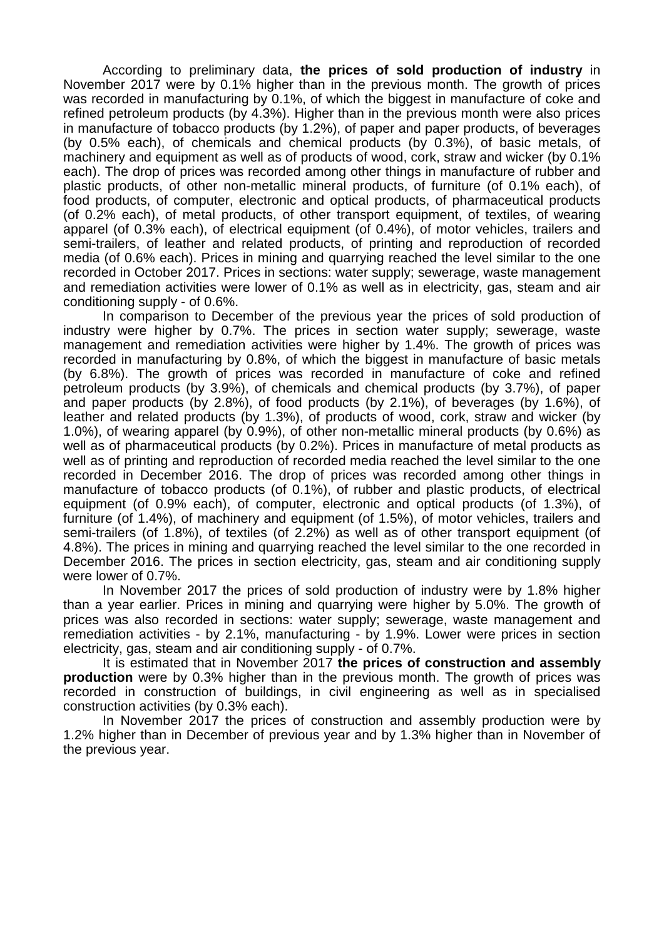According to preliminary data, **the prices of sold production of industry** in November 2017 were by 0.1% higher than in the previous month. The growth of prices was recorded in manufacturing by 0.1%, of which the biggest in manufacture of coke and refined petroleum products (by 4.3%). Higher than in the previous month were also prices in manufacture of tobacco products (by 1.2%), of paper and paper products, of beverages (by 0.5% each), of chemicals and chemical products (by 0.3%), of basic metals, of machinery and equipment as well as of products of wood, cork, straw and wicker (by 0.1% each). The drop of prices was recorded among other things in manufacture of rubber and plastic products, of other non-metallic mineral products, of furniture (of 0.1% each), of food products, of computer, electronic and optical products, of pharmaceutical products (of 0.2% each), of metal products, of other transport equipment, of textiles, of wearing apparel (of 0.3% each), of electrical equipment (of 0.4%), of motor vehicles, trailers and semi-trailers, of leather and related products, of printing and reproduction of recorded media (of 0.6% each). Prices in mining and quarrying reached the level similar to the one recorded in October 2017. Prices in sections: water supply; sewerage, waste management and remediation activities were lower of 0.1% as well as in electricity, gas, steam and air conditioning supply - of 0.6%.

In comparison to December of the previous year the prices of sold production of industry were higher by 0.7%. The prices in section water supply; sewerage, waste management and remediation activities were higher by 1.4%. The growth of prices was recorded in manufacturing by 0.8%, of which the biggest in manufacture of basic metals (by 6.8%). The growth of prices was recorded in manufacture of coke and refined petroleum products (by 3.9%), of chemicals and chemical products (by 3.7%), of paper and paper products (by 2.8%), of food products (by 2.1%), of beverages (by 1.6%), of leather and related products (by 1.3%), of products of wood, cork, straw and wicker (by 1.0%), of wearing apparel (by 0.9%), of other non-metallic mineral products (by 0.6%) as well as of pharmaceutical products (by 0.2%). Prices in manufacture of metal products as well as of printing and reproduction of recorded media reached the level similar to the one recorded in December 2016. The drop of prices was recorded among other things in manufacture of tobacco products (of 0.1%), of rubber and plastic products, of electrical equipment (of 0.9% each), of computer, electronic and optical products (of 1.3%), of furniture (of 1.4%), of machinery and equipment (of 1.5%), of motor vehicles, trailers and semi-trailers (of 1.8%), of textiles (of 2.2%) as well as of other transport equipment (of 4.8%). The prices in mining and quarrying reached the level similar to the one recorded in December 2016. The prices in section electricity, gas, steam and air conditioning supply were lower of 0.7%.

In November 2017 the prices of sold production of industry were by 1.8% higher than a year earlier. Prices in mining and quarrying were higher by 5.0%. The growth of prices was also recorded in sections: water supply; sewerage, waste management and remediation activities - by 2.1%, manufacturing - by 1.9%. Lower were prices in section electricity, gas, steam and air conditioning supply - of 0.7%.

It is estimated that in November 2017 **the prices of construction and assembly production** were by 0.3% higher than in the previous month. The growth of prices was recorded in construction of buildings, in civil engineering as well as in specialised construction activities (by 0.3% each).

In November 2017 the prices of construction and assembly production were by 1.2% higher than in December of previous year and by 1.3% higher than in November of the previous year.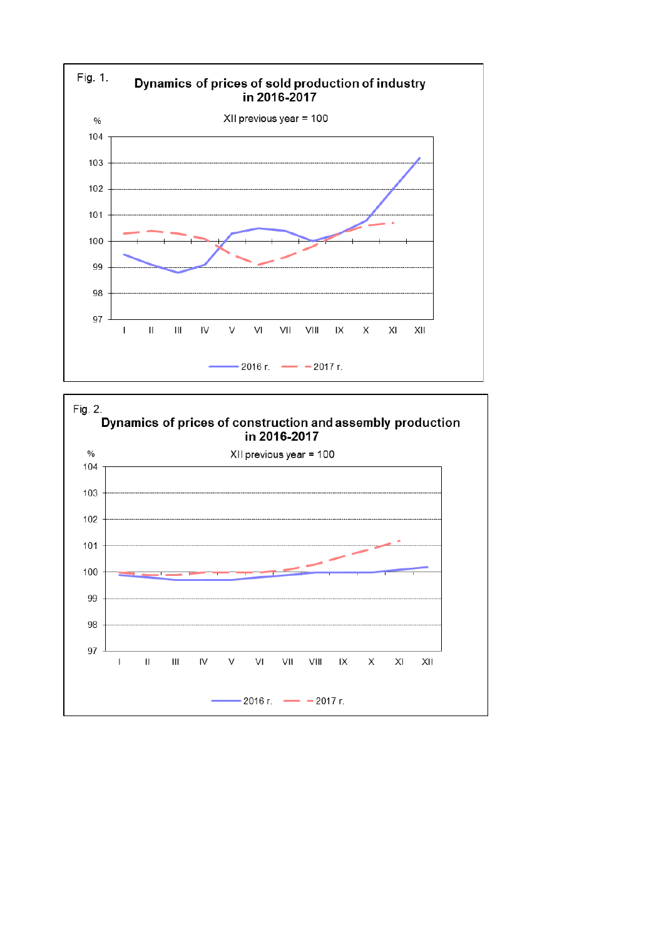